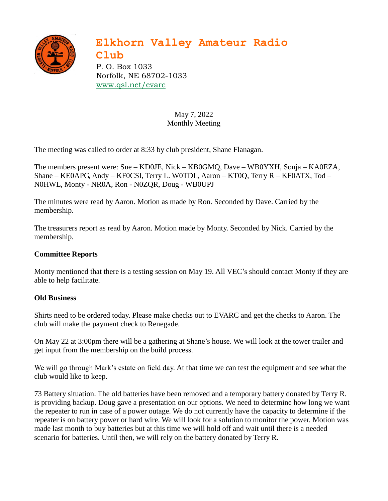

## **Elkhorn Valley Amateur Radio**

**Club** P. O. Box 1033 Norfolk, NE 68702-1033 [www.qsl.net/evarc](http://www.qsl.net/evarc)

> May 7, 2022 Monthly Meeting

The meeting was called to order at 8:33 by club president, Shane Flanagan.

The members present were: Sue – KD0JE, Nick – KB0GMQ, Dave – WB0YXH, Sonja – KA0EZA, Shane – KE0APG, Andy – KF0CSI, Terry L. W0TDL, Aaron – KT0Q, Terry R – KF0ATX, Tod – N0HWL, Monty - NR0A, Ron - N0ZQR, Doug - WB0UPJ

The minutes were read by Aaron. Motion as made by Ron. Seconded by Dave. Carried by the membership.

The treasurers report as read by Aaron. Motion made by Monty. Seconded by Nick. Carried by the membership.

## **Committee Reports**

Monty mentioned that there is a testing session on May 19. All VEC's should contact Monty if they are able to help facilitate.

## **Old Business**

Shirts need to be ordered today. Please make checks out to EVARC and get the checks to Aaron. The club will make the payment check to Renegade.

On May 22 at 3:00pm there will be a gathering at Shane's house. We will look at the tower trailer and get input from the membership on the build process.

We will go through Mark's estate on field day. At that time we can test the equipment and see what the club would like to keep.

73 Battery situation. The old batteries have been removed and a temporary battery donated by Terry R. is providing backup. Doug gave a presentation on our options. We need to determine how long we want the repeater to run in case of a power outage. We do not currently have the capacity to determine if the repeater is on battery power or hard wire. We will look for a solution to monitor the power. Motion was made last month to buy batteries but at this time we will hold off and wait until there is a needed scenario for batteries. Until then, we will rely on the battery donated by Terry R.